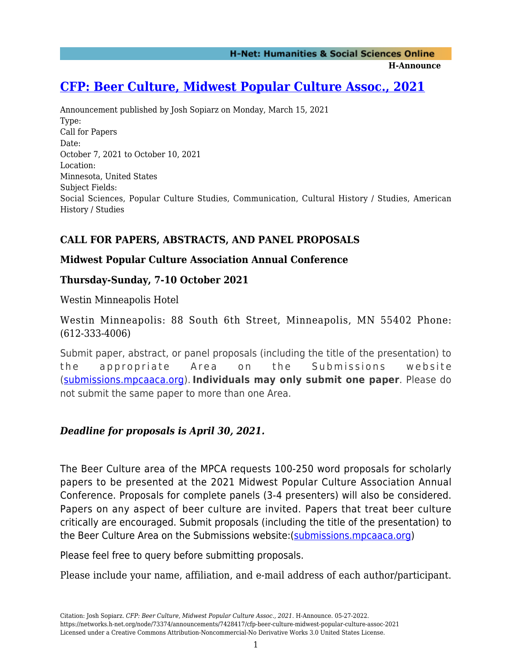**H-Announce** 

# **[CFP: Beer Culture, Midwest Popular Culture Assoc., 2021](https://networks.h-net.org/node/73374/announcements/7428417/cfp-beer-culture-midwest-popular-culture-assoc-2021)**

Announcement published by Josh Sopiarz on Monday, March 15, 2021 Type: Call for Papers Date: October 7, 2021 to October 10, 2021 Location: Minnesota, United States Subject Fields: Social Sciences, Popular Culture Studies, Communication, Cultural History / Studies, American History / Studies

## **CALL FOR PAPERS, ABSTRACTS, AND PANEL PROPOSALS**

#### **Midwest Popular Culture Association Annual Conference**

### **Thursday-Sunday, 7-10 October 2021**

Westin Minneapolis Hotel

Westin Minneapolis: 88 South 6th Street, Minneapolis, MN 55402 Phone: (612-333-4006)

Submit paper, abstract, or panel proposals (including the title of the presentation) to the appropriate Area on the Submissions website [\(submissions.mpcaaca.org](https://owa.govst.edu/owa/redir.aspx?C=TK_RfN348M3VjDVhO8ZRS012fR9HkEmxz5Jp4-i6u83sg9GgRsHXCA..&URL=http%3a%2f%2fsubmissions.mpcaaca.org)). **Individuals may only submit one paper**. Please do not submit the same paper to more than one Area.

### *Deadline for proposals is April 30, 2021.*

The Beer Culture area of the MPCA requests 100-250 word proposals for scholarly papers to be presented at the 2021 Midwest Popular Culture Association Annual Conference. Proposals for complete panels (3-4 presenters) will also be considered. Papers on any aspect of beer culture are invited. Papers that treat beer culture critically are encouraged. Submit proposals (including the title of the presentation) to the Beer Culture Area on the Submissions website:([submissions.mpcaaca.org\)](http://submissions.mpcaaca.org/)

Please feel free to query before submitting proposals.

Please include your name, affiliation, and e-mail address of each author/participant.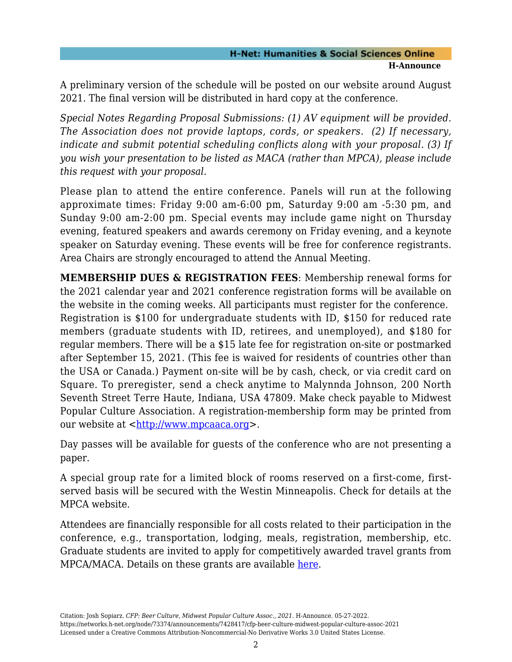#### **H-Net: Humanities & Social Sciences Online H-Announce**

A preliminary version of the schedule will be posted on our website around August 2021. The final version will be distributed in hard copy at the conference.

*Special Notes Regarding Proposal Submissions: (1) AV equipment will be provided. The Association does not provide laptops, cords, or speakers. (2) If necessary, indicate and submit potential scheduling conflicts along with your proposal. (3) If you wish your presentation to be listed as MACA (rather than MPCA), please include this request with your proposal.*

Please plan to attend the entire conference. Panels will run at the following approximate times: Friday 9:00 am-6:00 pm, Saturday 9:00 am -5:30 pm, and Sunday 9:00 am-2:00 pm. Special events may include game night on Thursday evening, featured speakers and awards ceremony on Friday evening, and a keynote speaker on Saturday evening. These events will be free for conference registrants. Area Chairs are strongly encouraged to attend the Annual Meeting.

**MEMBERSHIP DUES & REGISTRATION FEES**: Membership renewal forms for the 2021 calendar year and 2021 conference registration forms will be available on the website in the coming weeks. All participants must register for the conference. Registration is \$100 for undergraduate students with ID, \$150 for reduced rate members (graduate students with ID, retirees, and unemployed), and \$180 for regular members. There will be a \$15 late fee for registration on-site or postmarked after September 15, 2021. (This fee is waived for residents of countries other than the USA or Canada.) Payment on-site will be by cash, check, or via credit card on Square. To preregister, send a check anytime to Malynnda Johnson, 200 North Seventh Street Terre Haute, Indiana, USA 47809. Make check payable to Midwest Popular Culture Association. A registration-membership form may be printed from our website at  $\frac{\text{http://www.mpcaaca.org>}}{$  $\frac{\text{http://www.mpcaaca.org>}}{$  $\frac{\text{http://www.mpcaaca.org>}}{$ .

Day passes will be available for guests of the conference who are not presenting a paper.

A special group rate for a limited block of rooms reserved on a first-come, firstserved basis will be secured with the Westin Minneapolis. Check for details at the MPCA website.

Attendees are financially responsible for all costs related to their participation in the conference, e.g., transportation, lodging, meals, registration, membership, etc. Graduate students are invited to apply for competitively awarded travel grants from MPCA/MACA. Details on these grants are available [here.](http://mpcaaca.org/conference/travel-grants/)